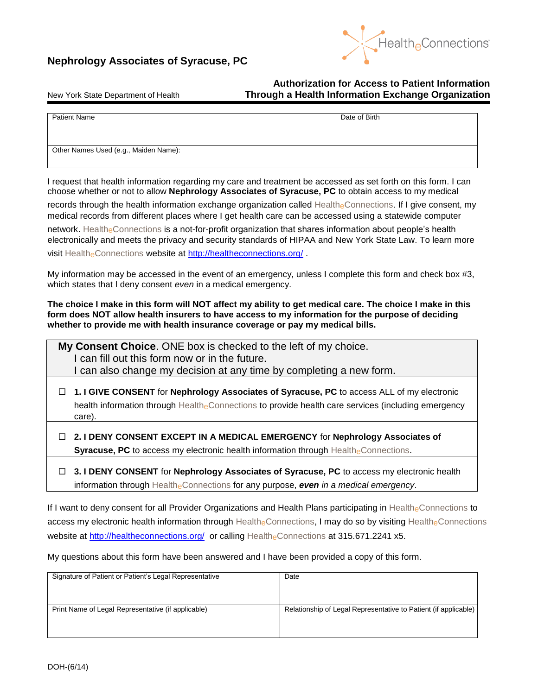



## **Authorization for Access to Patient Information** New York State Department of Health **Through a Health Information Exchange Organization**

| <b>Patient Name</b>                   | Date of Birth |
|---------------------------------------|---------------|
|                                       |               |
|                                       |               |
|                                       |               |
|                                       |               |
|                                       |               |
| Other Names Used (e.g., Maiden Name): |               |
|                                       |               |
|                                       |               |

I request that health information regarding my care and treatment be accessed as set forth on this form. I can choose whether or not to allow **Nephrology Associates of Syracuse, PC** to obtain access to my medical

records through the health information exchange organization called HealtheConnections. If I give consent, my medical records from different places where I get health care can be accessed using a statewide computer network. Health<sub>e</sub>Connections is a not-for-profit organization that shares information about people's health electronically and meets the privacy and security standards of HIPAA and New York State Law. To learn more visit Health<sub>e</sub>Connections website at<http://healtheconnections.org/>.

My information may be accessed in the event of an emergency, unless I complete this form and check box #3, which states that I deny consent *even* in a medical emergency.

**The choice I make in this form will NOT affect my ability to get medical care. The choice I make in this form does NOT allow health insurers to have access to my information for the purpose of deciding whether to provide me with health insurance coverage or pay my medical bills.**

**My Consent Choice**. ONE box is checked to the left of my choice. I can fill out this form now or in the future. I can also change my decision at any time by completing a new form.

- **1. I GIVE CONSENT** for **Nephrology Associates of Syracuse, PC** to access ALL of my electronic health information through HealtheConnections to provide health care services (including emergency care).
- **2. I DENY CONSENT EXCEPT IN A MEDICAL EMERGENCY** for **Nephrology Associates of Syracuse, PC** to access my electronic health information through HealtheConnections.
- **3. I DENY CONSENT** for **Nephrology Associates of Syracuse, PC** to access my electronic health information through HealtheConnections for any purpose, *even in a medical emergency*.

If I want to deny consent for all Provider Organizations and Health Plans participating in HealtheConnections to access my electronic health information through HealtheConnections, I may do so by visiting HealtheConnections website at<http://healtheconnections.org/> or calling HealtheConnections at 315.671.2241 x5.

My questions about this form have been answered and I have been provided a copy of this form.

| Signature of Patient or Patient's Legal Representative | Date                                                            |
|--------------------------------------------------------|-----------------------------------------------------------------|
| Print Name of Legal Representative (if applicable)     | Relationship of Legal Representative to Patient (if applicable) |